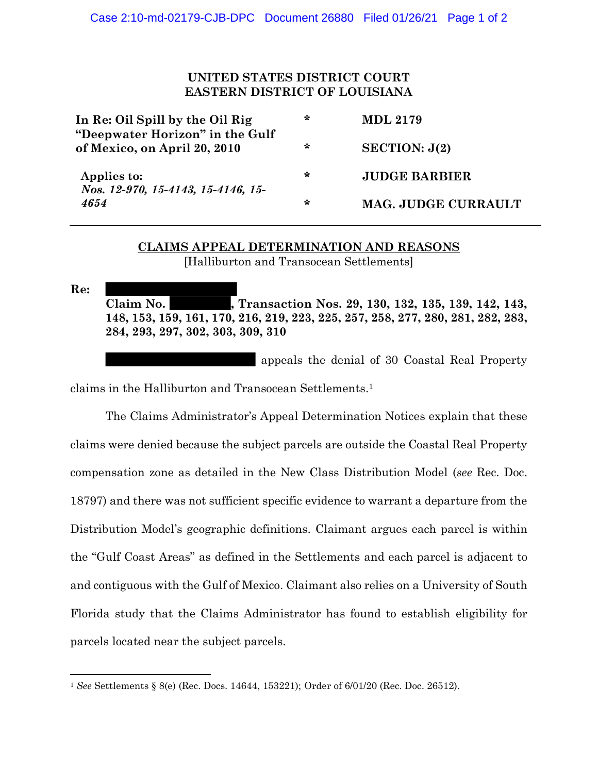## **UNITED STATES DISTRICT COURT EASTERN DISTRICT OF LOUISIANA**

| In Re: Oil Spill by the Oil Rig                                 | ∗ | <b>MDL 2179</b>            |
|-----------------------------------------------------------------|---|----------------------------|
| "Deepwater Horizon" in the Gulf<br>of Mexico, on April 20, 2010 | ∗ | SECTION: J(2)              |
| Applies to:<br>Nos. 12-970, 15-4143, 15-4146, 15-<br>4654       | ∗ | <b>JUDGE BARBIER</b>       |
|                                                                 | ∗ | <b>MAG. JUDGE CURRAULT</b> |

## **CLAIMS APPEAL DETERMINATION AND REASONS**

[Halliburton and Transocean Settlements]

**Re: Claim No. , Transaction Nos. 29, 130, 132, 135, 139, 142, 143, 148, 153, 159, 161, 170, 216, 219, 223, 225, 257, 258, 277, 280, 281, 282, 283, 284, 293, 297, 302, 303, 309, 310**

appeals the denial of 30 Coastal Real Property

claims in the Halliburton and Transocean Settlements. 1

The Claims Administrator's Appeal Determination Notices explain that these claims were denied because the subject parcels are outside the Coastal Real Property compensation zone as detailed in the New Class Distribution Model (*see* Rec. Doc. 18797) and there was not sufficient specific evidence to warrant a departure from the Distribution Model's geographic definitions. Claimant argues each parcel is within the "Gulf Coast Areas" as defined in the Settlements and each parcel is adjacent to and contiguous with the Gulf of Mexico. Claimant also relies on a University of South Florida study that the Claims Administrator has found to establish eligibility for parcels located near the subject parcels.

<sup>1</sup> *See* Settlements § 8(e) (Rec. Docs. 14644, 153221); Order of 6/01/20 (Rec. Doc. 26512).